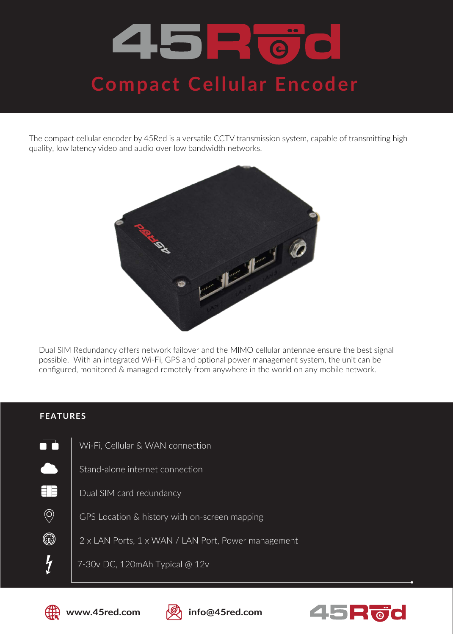## 45 E O **Compact Cellular Encoder**

The compact cellular encoder by 45Red is a versatile CCTV transmission system, capable of transmitting high quality, low latency video and audio over low bandwidth networks.



Dual SIM Redundancy offers network failover and the MIMO cellular antennae ensure the best signal possible. With an integrated Wi-Fi, GPS and optional power management system, the unit can be configured, monitored & managed remotely from anywhere in the world on any mobile network.

## **FEATURES**

n. Wi-Fi, Cellular & WAN connection Stand-alone internet connection EIB Dual SIM card redundancy  $\circledcirc$ GPS Location & history with on-screen mapping ٤ 2 x LAN Ports, 1 x WAN / LAN Port, Power management  $\overline{y}$ 7-30v DC, 120mAh Typical @ 12v





**www.45red.com info@45red.com**